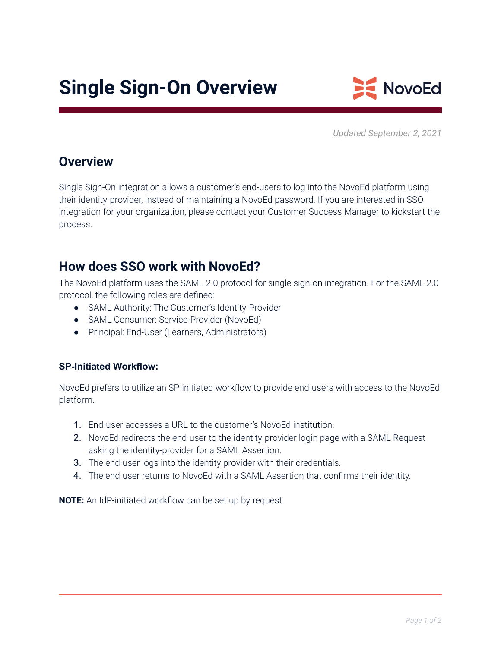# **Single Sign-On Overview**



*Updated September 2, 2021*

#### **Overview**

Single Sign-On integration allows a customer's end-users to log into the NovoEd platform using their identity-provider, instead of maintaining a NovoEd password. If you are interested in SSO integration for your organization, please contact your Customer Success Manager to kickstart the process.

### **How does SSO work with NovoEd?**

The NovoEd platform uses the SAML 2.0 protocol for single sign-on integration. For the SAML 2.0 protocol, the following roles are defined:

- SAML Authority: The Customer's Identity-Provider
- SAML Consumer: Service-Provider (NovoEd)
- Principal: End-User (Learners, Administrators)

#### **SP-Initiated Workflow:**

NovoEd prefers to utilize an SP-initiated workflow to provide end-users with access to the NovoEd platform.

- 1. End-user accesses a URL to the customer's NovoEd institution.
- 2. NovoEd redirects the end-user to the identity-provider login page with a SAML Request asking the identity-provider for a SAML Assertion.
- 3. The end-user logs into the identity provider with their credentials.
- 4. The end-user returns to NovoEd with a SAML Assertion that confirms their identity.

**NOTE:** An IdP-initiated workflow can be set up by request.